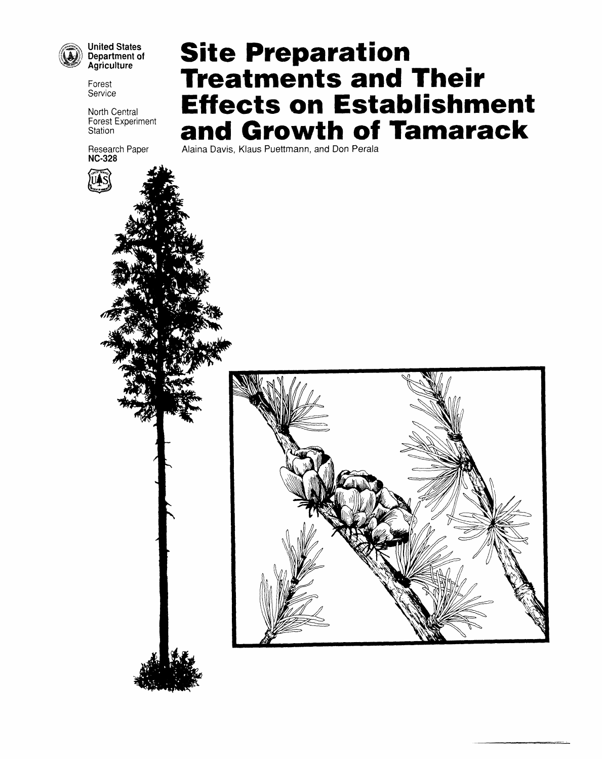

**United States** Department of<br>Agriculture

Forest Service

North Central Forest Experiment Station

Research Paper<br>NC-328

# **Site Preparation Treatments and Their Effects on Establishment** and Growth of Tamarack

Alaina Davis, Klaus Puettmann, and Don Perala



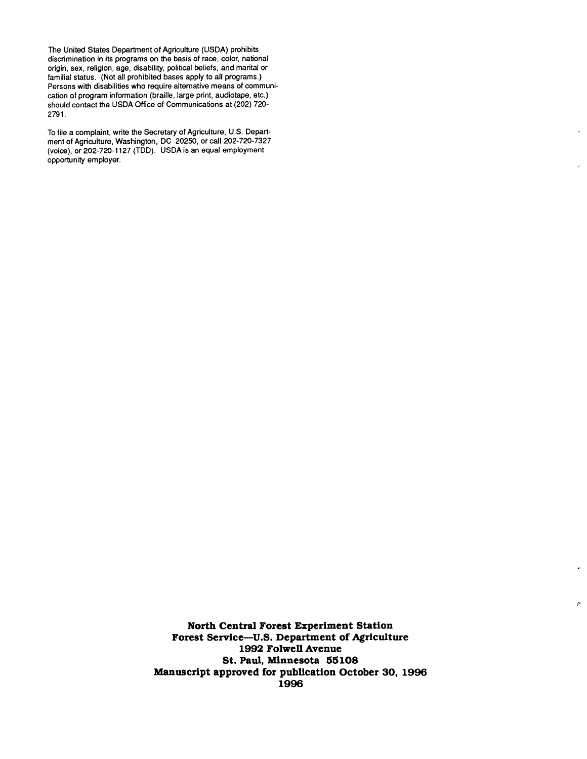The United States Department of Agriculture (USDA) prohibits discrimination in its programs on the basis of race, color, national origin, sex, religion, age, disability, political beliefs, and marital or familial status. (Not all prohibited bases apply to all programs.) Persons with disabilities who require alternative means of communication of program information (braille, large print, audiotape, etc.) should contact the USDAOffice of Communications at (202) 720- 2791.

To file a complaint, write the Secretary of Agriculture, U.S. Department of Agriculture, Washington, DC 20250, or call 202-720-7327 (voice), or 202-720-1127 (TDD). USDA is an equal employment opportunity employer.

> **North Central Forest Experiment Station Forest Service--U.S. Department of Agriculture 1992 Folwell Avenue St. Paul, Minnesota 55108 Manuscript approved for publication October 30, 1996 1996**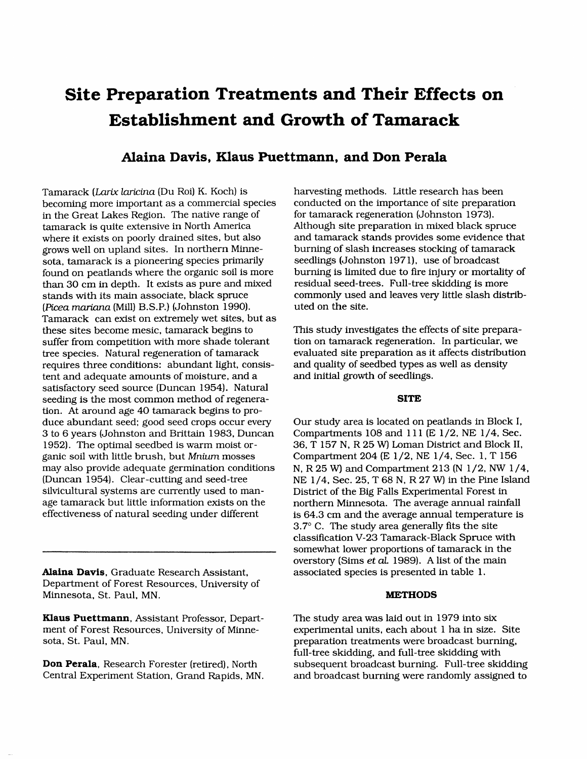## **Site Preparation Treatments and Their Effects on Establishment and Growth of Tamarack**

## Alaina Davis, Klaus Puettmann, and Don Perala

Tamarack (*Larix laricina* (Du Roi) K. Koch) is harvesting methods. Little research has been<br>becoming more important as a commercial species conducted on the importance of site preparation becoming more important as a commercial species conducted on the importance of site preparation (Johnston 1973). in the Great Lakes Region. The native range of tamarack is quite extensive in North America tamarack is quite extensive in North America Although site preparation in mixed black spruce<br>where it exists on poorly drained sites, but also and tamarack stands provides some evidence that grows well on upland sites. In northern Minne-<br>sota, tamarack is a pioneering species primarily seedlings (Johnston 1971), use of broadcast sota, tamarack is a pioneering species primarily seedlings (Johnston 1971), use of broadcast<br>found on peatlands where the organic soil is more burning is limited due to fire injury or mortality of found on peatlands where the organic soil is more burning is limited due to fire injury or mortality than 30 cm in depth. It exists as pure and mixed residual seed-trees. Full-tree skidding is more than 30 cm in depth. It exists as pure and mixed residual seed-trees. Full-tree skidding is more<br>stands with its main associate, black spruce commonly used and leaves very little slash distribstands with its main associate, black spruce commonly used and leaves very little slash (*Picea mariana* (Mill) B.S.P.) (Johnston 1990). (*Picea mariana* (Mill) B.S.P.) (Johnston 1990). Tamarack can exist on ex*t*remely wet sites, but as these sites become mesic, tamarack begins to This study investigates the effects of site prepara-<br>suffer from competition with more shade tolerant tion on tamarack regeneration. In particular, we suffer from competition with more shade tolerant tion on tamarack regeneration. In particular, we tree species. Natural regeneration of tamarack evaluated site preparation as it affects distribution tree species. Natural regeneration of tamarack evaluated site preparation as it affects distributions: abundant light, consis-<br>In and quality of seedbed types as well as density requires three conditions: abundant light, consis- and quality of seedbed types as tent and adequate amounts of moisture, and a and initial growth of seedlings. tent and adequate amounts of moisture, and a satisfactory seed source (Duncan 1954). Natural seeding is the most common method of regenera- SITE **ti**on. At around age 40 tamarack begins to produce abundant seed; good seed crops occur every Our study area is located on peatlands in Block I,<br>3 to 6 years (Johnston and Brittain 1983, Duncan Compartments 108 and 111 (E 1/2, NE 1/4, Sec. 3 to 6 years (Johnston and Brittain 1983, Duncan 1952). The optimal seedbed is warm moist or-1952). The optimal seedbed is warm moist or-<br>ganic soil with little brush, but *Mnium* mosses Compartment 204 (E 1/2, NE 1/4, Sec. 1, T 156 ganic soil with little brush, but *Mnium* mosses Compartment 204 (E 1/2, NE 1/4, Sec. 1, T 156 may also provide adequate germination conditions N. R 25 W and Compartment 213 (N 1/2, NW 1/ silvicultural systems are currently used to man-<br>age tamarack but little information exists on the morthern Minnesota. The average annual rainf age tamarack but little information exists on the northern Minnesota. The average annual rainfall<br>effectiveness of natural seeding under different is 64.3 cm and the average annual temperature is

Al**aina Davis,** Graduate Research Assistant**,** associated species is presented in table 1. Department of Forest Resources, University of Minnesota, St. Paul, MN. MET**HO**D**S**

**Klaus Puettmann**, Assistant Professor, Depart-<br>
The study area was laid out in 1979 into six<br>
ment of Forest Resources, University of Minne-<br>
<u>Experimental units, each about 1 ha in size.</u>

and tamarack stands provides some evidence that<br>burning of slash increases stocking of tamarack

may also provide adequate germination conditions N, R 25 W) and Compartment 213 (N 1/2, NW 1/4, (Duncan 1954). Clear-cutting and seed-tree NE 1/4, Sec. 25, T 68 N, R 27 W) in the Pine Island (Duncan 1954). Clear-cutting and seed-tree NE 1/4, Sec. 25, T 68 N, R 27 W) in the Pine Island silvicultural systems are currently used to man-<br>District of the Big Falls Experimental Forest in is 64.3 cm and the average annual temperature is 3.7 **°** C. The study area generally fits the site classification V-23 Tamarack-Black Spruce with somewhat lower proportions of tamarack in the overstory (Sims *et al.* 1989). A list of the main

ment of Forest Resources, University of Minne- experimental units, each about 1 ha in size. Site preparation treatments were broadcast burning, full-tree skidding, and full-tree skidding with **Don Perala**, Research Forester (retired), North subsequent broadcast burning. Full-tree skidding Central Experiment Station, Grand Rapids, MN. and broadcast burning were randomly assigned to and broadcast burning were randomly assigned to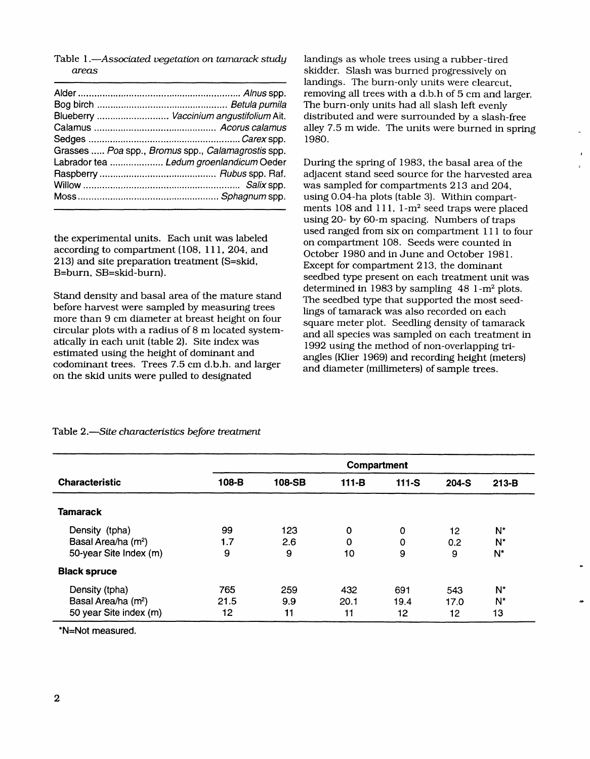Table 1.-Associated vegetation on tamarack study areas

| Blueberry  Vaccinium angustifolium Ait.            |
|----------------------------------------------------|
|                                                    |
|                                                    |
| Grasses  Poa spp., Bromus spp., Calamagrostis spp. |
| Labrador tea  Ledum groenlandicum Oeder            |
|                                                    |
|                                                    |
|                                                    |

the experimental units. Each unit was labeled according to compartment (108, 111, 204, and 213) and site preparation treatment (S=skid, B=burn, SB=skid-burn).

Stand density and basal area of the mature stand before harvest were sampled by measuring trees more than 9 cm diameter at breast height on four circular plots with a radius of 8 m located systematically in each unit (table 2). Site index was estimated using the height of dominant and codominant trees. Trees 7.5 cm d.b.h. and larger on the skid units were pulled to designated

landings as whole trees using a rubber-tired skidder. Slash was burned progressively on landings. The burn-only units were clearcut. removing all trees with a d.b.h of 5 cm and larger. The burn-only units had all slash left evenly distributed and were surrounded by a slash-free alley 7.5 m wide. The units were burned in spring 1980.

During the spring of 1983, the basal area of the adjacent stand seed source for the harvested area was sampled for compartments 213 and 204, using 0.04-ha plots (table 3). Within compartments 108 and 111, 1-m<sup>2</sup> seed traps were placed using 20- by 60-m spacing. Numbers of traps used ranged from six on compartment 111 to four on compartment 108. Seeds were counted in October 1980 and in June and October 1981. Except for compartment 213, the dominant seedbed type present on each treatment unit was determined in 1983 by sampling  $48$  1-m<sup>2</sup> plots. The seedbed type that supported the most seedlings of tamarack was also recorded on each square meter plot. Seedling density of tamarack and all species was sampled on each treatment in 1992 using the method of non-overlapping triangles (Klier 1969) and recording height (meters) and diameter (millimeters) of sample trees.

|                                 | Compartment |        |             |         |         |                |
|---------------------------------|-------------|--------|-------------|---------|---------|----------------|
| <b>Characteristic</b>           | 108-B       | 108-SB | $111 - B$   | $111-S$ | $204-S$ | $213-B$        |
| <b>Tamarack</b>                 |             |        |             |         |         |                |
| Density (tpha)                  | 99          | 123    | $\mathbf 0$ | 0       | 12      | N*             |
| Basal Area/ha (m <sup>2</sup> ) | 1.7         | 2.6    | O           | 0       | 0.2     | N <sup>*</sup> |
| 50-year Site Index (m)          | 9           | 9      | 10          | 9       | 9       | $N^*$          |
| <b>Black spruce</b>             |             |        |             |         |         |                |
| Density (tpha)                  | 765         | 259    | 432         | 691     | 543     | N*             |
| Basal Area/ha (m <sup>2</sup> ) | 21.5        | 9.9    | 20.1        | 19.4    | 17.0    | N*             |
| 50 year Site index (m)          | 12          | 11     | 11          | 12.     | 12      | 13             |

Table 2.-Site characteristics before treatment

\*N=Not measured.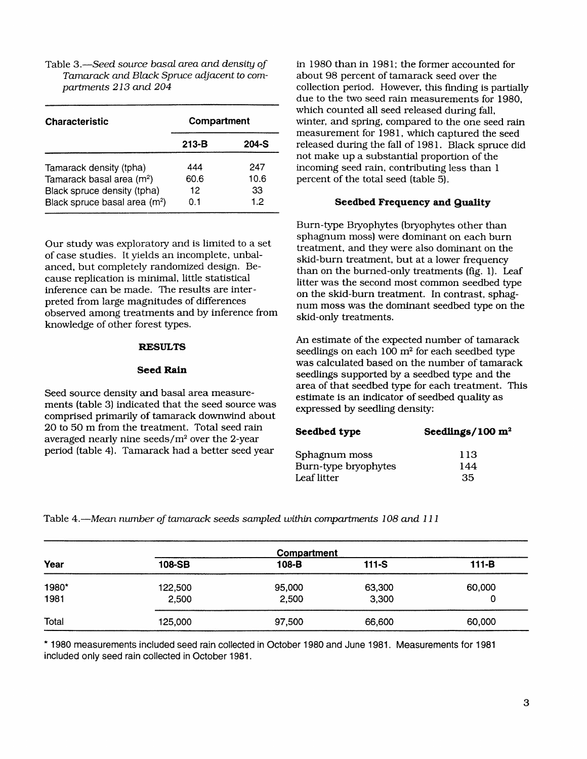*Tamarack and Black Spruce adjacent to compartments 213 and 204* 

| <b>Characteristic</b>                                                                                                                        | Compartment              |                         |  |  |
|----------------------------------------------------------------------------------------------------------------------------------------------|--------------------------|-------------------------|--|--|
|                                                                                                                                              | $213-B$                  | 204-S                   |  |  |
| Tamarack density (tpha)<br>Tamarack basal area (m <sup>2</sup> )<br>Black spruce density (tpha)<br>Black spruce basal area (m <sup>2</sup> ) | 444<br>60.6<br>12<br>0.1 | 247<br>10.6<br>33<br>12 |  |  |

Our study was exploratory and is limited to a set<br>of case studies. It yields an incomplete, unbal-<br>skid-burn treatment, but at a lower frequency anced, but completely randomized design. Beanced, but completely randomized design. Be-<br>cause replication is minimal, little statistical<br>than on the burned-only treatments (fig. 1). Leaf cause replication is minimal, little statistical litter was the second most common seedbed type<br>inference can be made. The results are inter-<br>on the skid burn treatment. In contract, orbig preted from large magnitudes of differences<br>observed among treatments and by inference from spective among a californic and by and concerned in skill-only treatments.

Seed source density and basal area measure-<br>ments (table 3) indicated that the seed source was<br>expressed by seedling density: expressed by seedling density of tamarack downwind about expressed by seedling density: 20 to 50 m from the treatment. Total seed rain **Seed***b*e**d t**y**p**e S**eed**li**n**g**s***/*1**00 m** = averaged nearly nine seeds*/*m 2 **o**ver the 2-year period (table 4). Tamarack had a better seed year

Table 3.**--***Seed source basal area and density of* in 1980 than in 1981; the former accounted for *partments 213 and 204* collection period. However, this f*un*ding is partially due to the two seed rain measurements for 1980*,* which counted all seed released during fall, winter, and spring, compared to the one seed rain measurement for 1981*,* which captured the seed **213***-***B 204***-***S** released during the fall of 1981. Black spruce did not make up a substantial proportion of the incoming seed rain, contributing less than 1 percent of the total seed (table 5).

## Black spruce basal area (m2) 0.1 1.2 **S**ee**d**be**d** l\_req**u**e**nc**y **and Q**uali**t**y

Burn-type Bryophytes (bryophytes other than sphagnum moss) were dominant on each burn on the skid-burn treatment. In contrast, sphagnum moss was the dominant seedbed type on the<br>skid-only treatments.

An estimate of the expected number of tamarack **RESULTS** seedlings on each 100 m<sup>2</sup> for each seedbed type was calculated based on the number of tamarack **Seed Rain** seedlings supported by a seedbed type and the area of that seedbed type for each treatment. This

| Seedbed type         | Seedlings/100 $m2$ |  |  |
|----------------------|--------------------|--|--|
| Sphagnum moss        | 113                |  |  |
| Burn-type bryophytes | 144                |  |  |
| Leaf litter          | 35                 |  |  |

Table 4.**--***Mean nu*m*ber of tamarack seeds sampled within compartments 108 and 111*

|       |         | Compartment |         |         |
|-------|---------|-------------|---------|---------|
| Year  | 108-SB  | 108-B       | $111-S$ | $111-B$ |
| 1980* | 122,500 | 95,000      | 63,300  | 60,000  |
| 1981  | 2,500   | 2,500       | 3,300   | 0       |
| Total | 125,000 | 97,500      | 66,600  | 60,000  |

\* 1980 measurements included seed rain collected in October 1980 and June 1981. Measurements for 1981 **inclu**ded **only s**eed **rain coll**e**ct**ed **in** O**ct**ober **1981.**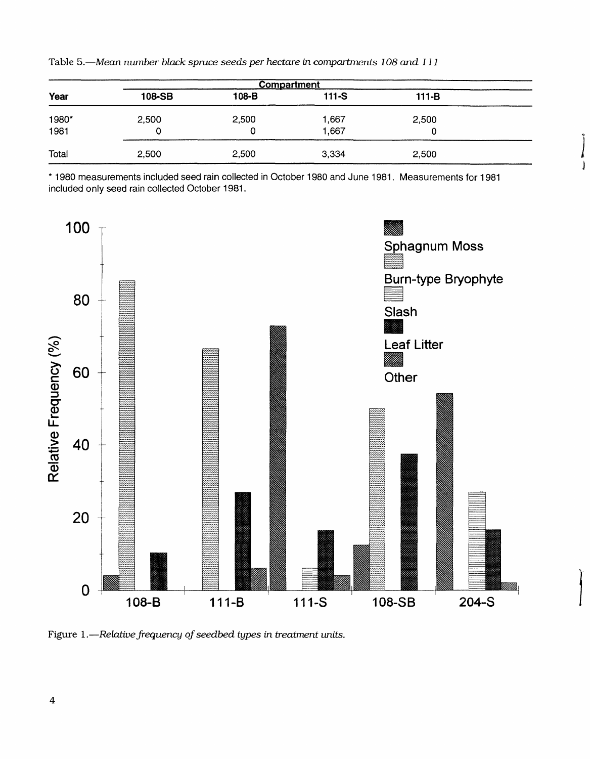Table 5.—Mean number black spruce seeds per hectare in compartments 108 and 111

| Compartment   |            |            |                |            |  |
|---------------|------------|------------|----------------|------------|--|
| Year          | 108-SB     | 108-B      | $111-S$        | $111 - B$  |  |
| 1980*<br>1981 | 2,500<br>0 | 2,500<br>0 | 1,667<br>1,667 | 2,500<br>0 |  |
| Total         | 2,500      | 2,500      | 3,334          | 2,500      |  |

\* 1980 measurements included seed rain collected in October 1980 and June 1981. Measurements for 1981 included only seed rain collected October 1981.



Figure 1.-Relative frequency of seedbed types in treatment units.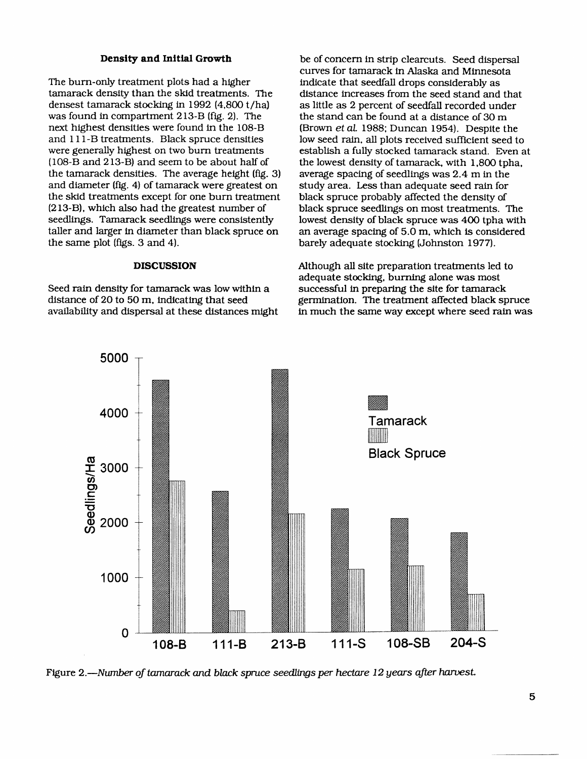The burn-only treatment plots had a higher indicate that seedfall drops considerably as tamarack density than the skid treatments. The distance increases from the seed stand and densest tamarack stocking in 1992 (4,800 t/ha) was found in compartment 213-B (fig. 2). The next highest densities were found in the 108-B<br>and 111-B treatments. Black spruce densities and 111-B treatments. Black spruce densities low seed rain, all plots received sufficient seed to were generally highest on two burn treatments establish a fully stocked tamarack stand. Even a were generally highest on two burn treatments establish a fully stocked tamarack stand. Even at (108-B and 213-B) and seem to be about half of the lowest density of tamarack, with 1.800 tpha. the tamarack densities. The average height (fig. 3) and diameter (fig. 4) of tamarack were greatest on the skid treatments except for one burn treatment (213-B), which also had the greatest number of seedlings. Tamarack seedlings were consistently lowest density of black spruce was 400 tpha with taller and larger in diameter than black spruce on an average spacing of 5.0 m, which is considered taller and larger in diameter than black spruce on the same plot (figs. 3 and 4).

Seed rain density for tamarack was low within a distance of 20 to 50 m, indicating that seed availability and dispersal at these distances might

**Density and Initial Growth** be of concern in strip clearcuts. Seed dispersal curves for tamarack in Alaska and Minnesota distance increases from the seed stand and that<br>as little as 2 percent of seedfall recorded under the stand can be found at a distance of 30 m<br>(Brown *et al.* 1988; Duncan 1954). Despite the the lowest density of tamarack, with 1,800 tpha, average spacing of seedlings was 2.4 m in the study area. Less than adequate seed rain for<br>black spruce probably affected the density of black spruce seedlings on most treatments. The lowest density of black spruce was 400 tpha with barely adequate stocking (Johnston 1977).

**DISCUSSION** Although all site preparation treatments led to adequate stocking, burning alone was most<br>successful in preparing the site for tamarack germination. The treatment affected black spruce<br>in much the same way except where seed rain was



Figure 2.--*Number of tamarack and black spruce seedlings per hectare 12 years after ha*r*vest*.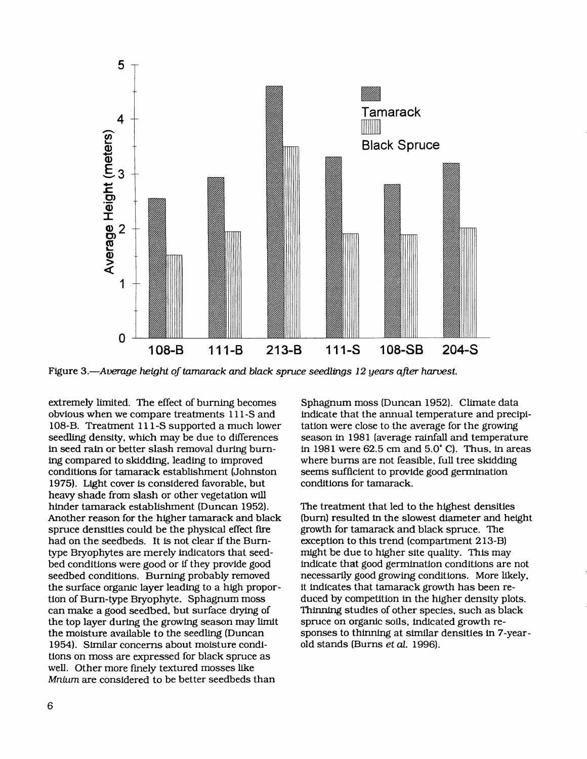

Figure 3.—Average height of tamarack and black spruce seedlings 12 years after harvest.

extremely limited. The effect of burning becomes obvious when we compare treatments 111-S and 108-B. Treatment 111-S supported a much lower seedling density, which may be due to differences in seed rain or better slash removal during burning compared to skidding, leading to improved conditions for tamarack establishment (Johnston 1975). Light cover is considered favorable, but heavy shade from slash or other vegetation will hinder tamarack establishment (Duncan 1952). Another reason for the higher tamarack and black spruce densities could be the physical effect fire had on the seedbeds. It is not clear if the Burntype Bryophytes are merely indicators that seedbed conditions were good or if they provide good seedbed conditions. Burning probably removed the surface organic layer leading to a high proportion of Burn-type Bryophyte. Sphagnum moss can make a good seedbed, but surface drying of the top layer during the growing season may limit the moisture available to the seedling (Duncan 1954). Similar concerns about moisture conditions on moss are expressed for black spruce as well. Other more finely textured mosses like Mnium are considered to be better seedbeds than

Sphagnum moss (Duncan 1952). Climate data indicate that the annual temperature and precipitation were close to the average for the growing season in 1981 (average rainfall and temperature in 1981 were  $62.5$  cm and  $5.0^{\circ}$  C). Thus, in areas where burns are not feasible, full tree skidding seems sufficient to provide good germination conditions for tamarack.

The treatment that led to the highest densities (burn) resulted in the slowest diameter and height growth for tamarack and black spruce. The exception to this trend (compartment 213-B) might be due to higher site quality. This may indicate that good germination conditions are not necessarily good growing conditions. More likely, it indicates that tamarack growth has been reduced by competition in the higher density plots. Thinning studies of other species, such as black spruce on organic soils, indicated growth responses to thinning at similar densities in 7-yearold stands (Burns et al. 1996).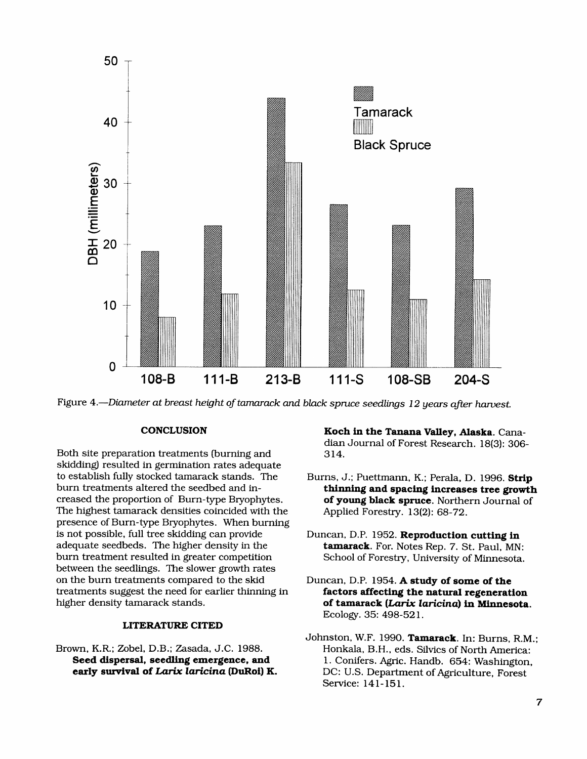

Figure 4.--*Diameter at breast height of ta*m*arack and black spruce seedlings 12 years after ha*r*vest*.

Both site preparation treatments (burning and skidding) resulted in germination rates adequate to establish fully stocked tamarack stands. The Burns*,* J.; Puettmann, K.; Perala*,* D. 1996. **Str**i**p** creased the proportion of Burn-type Bryophytes. **of young black spruce**. Northern The highest tamarack densities coincided with the Applied Forestry. 13(2): 68-72. The highest tamarack densities coincided with the presence of Burn-type Bryophytes. When burning is not possible, full tree skidding can provide Duncan, D.P. 1952. R**epro**du**ct**i**on cutt**i**n**g i**n** adequate seedbeds. The higher density in the **t**am**arack**. For. Notes Rep. 7. St. Paul, MN: between the seedlings. The slower growth rates<br>on the burn treatments compared to the skid treatments suggest the need for earlier thinning in higher density tamarack stands.

### **L**IT**E**R**ATU**R**E** C**I**T**ED**

Brown, K.R.; Zobel, D.B.; Zasada, J.C. 1988.

**C**O**NCLUSION Koch** i**n the Tanana V**all**ey, A**l**aska**. Canadian Journal of Forest Research. 18(3): 306-

- thinning and spacing increases tree growth<br>of young black spruce. Northern Journal of
- School of Forestry, University of Minnesota.
- **Duncan, D.P. 1954. A study of some of the factors affecting the natural regeneration** higher density tamarack stands, **o**f **t**a**m**ar**ac**k (*Lar/x laricina*) i**n M**i**nnesota**. Ecology. 35: 498-521.
- Johnston*,* W.F. 1990. T**am**a**rack**. In: Burns, R.M.; **Seed dispersal, seedling emergence, and** *i. Conifers. Agric. Handb. 654: Washington,* **early survival of Larix laricina (DuRoi) K.** D. D.C: U.S. Department of Agriculture Forest **DC: U.S. Department of Agriculture, Forest** Service: 141-151.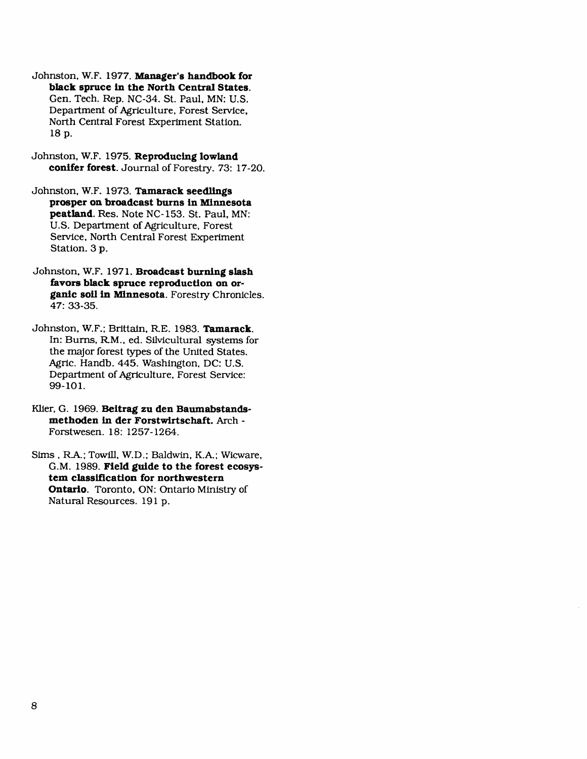Johnston, W**.**F**.** 197**7. Manager's handbook for black spruce in the North Central States.** Gen. Tech. Rep. NC-34. St. Paul, MN: U.S. Department of Agriculture, Forest Service, North Central Forest *E*xperiment Station. 18 p.

Johnston, W.F. 1975. **Repro**d**uc**in**g low**la**nd co**n**ifer forest**. Journal of Forestry. 73: 17-20.

Johnston, W.F. 1973. T**a**ma**r**a**c**k **seed**ling**s prosper o**n **broadcast burns in Minnesota peat**l**and**. Res. Note NC-153. St. Paul, MN: U.S. Department of Agriculture, Forest Servi*c*e, North Central Forest Experiment Station. 3 p.

Johnston, W.F**.** 1971. **Bro**a**dc**a**st burn**i**ng s**la**sh favors b**la**ck spruce reproduction on organic soil in Minnesota.** Fo**r**e**stry C**hroni*c*les**.** 47: 33-35.

Johnston, W.F.; Brittain, R.E. 1983. T**a**ma**rack**. In: Burns, R.M., ed. Silvicultural systems for the major forest types of the United States. Agric. Handb. 445. Washington, DC: U.S. Department of Agri*c*ulture, Forest Service: 99-101.

Klier*,* G. 1969. **Beitrag zu den Baumabstandsmethoden** in **der Forstwirtschaft.** Ar*c*h **-** Forstwesen. 18: 1257-1264.

Sims, R\_a,.; Towfll, W.D.; Bal*d*win, K.A.; Wicware, G.M. 1989. **Field** g**u**ide **to t**h**e f**o**r**e**st** e**cosystem classifica**ti**on for no**rt**hwestern** O**ntario**. **T**o**r**onto, ON: Ontario Ministry of Natural Resources. 191 p.